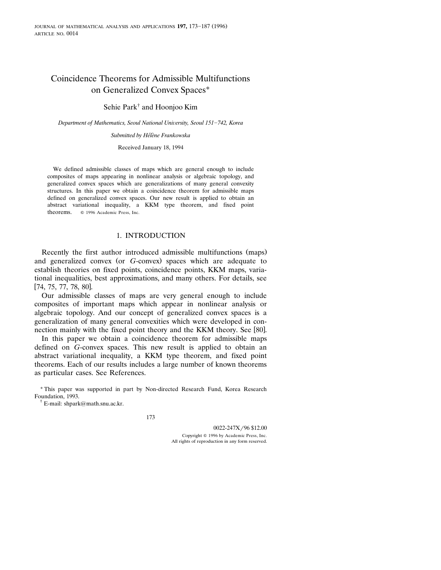# Coincidence Theorems for Admissible Multifunctions on Generalized Convex Spaces\*

Sehie Park† and Hoonjoo Kim

*Department of Mathematics, Seoul National University, Seoul 151-742, Korea* 

*Submitted by Helene Frankowska* ´`

Received January 18, 1994

We defined admissible classes of maps which are general enough to include composites of maps appearing in nonlinear analysis or algebraic topology, and generalized convex spaces which are generalizations of many general convexity structures. In this paper we obtain a coincidence theorem for admissible maps defined on generalized convex spaces. Our new result is applied to obtain an abstract variational inequality, a KKM type theorem, and fixed point theorems.  $\circ$  1996 Academic Press, Inc.

# 1. INTRODUCTION

Recently the first author introduced admissible multifunctions (maps) and generalized convex (or G-convex) spaces which are adequate to establish theories on fixed points, coincidence points, KKM maps, variational inequalities, best approximations, and many others. For details, see  $[74, 75, 77, 78, 80]$ .

Our admissible classes of maps are very general enough to include composites of important maps which appear in nonlinear analysis or algebraic topology. And our concept of generalized convex spaces is a generalization of many general convexities which were developed in connection mainly with the fixed point theory and the KKM theory. See [80].

In this paper we obtain a coincidence theorem for admissible maps defined on *G*-convex spaces. This new result is applied to obtain an abstract variational inequality, a KKM type theorem, and fixed point theorems. Each of our results includes a large number of known theorems as particular cases. See References.

<sup>\*</sup> This paper was supported in part by Non-directed Research Fund, Korea Research Foundation, 1993.

<sup>†</sup> E-mail: shpark@math.snu.ac.kr.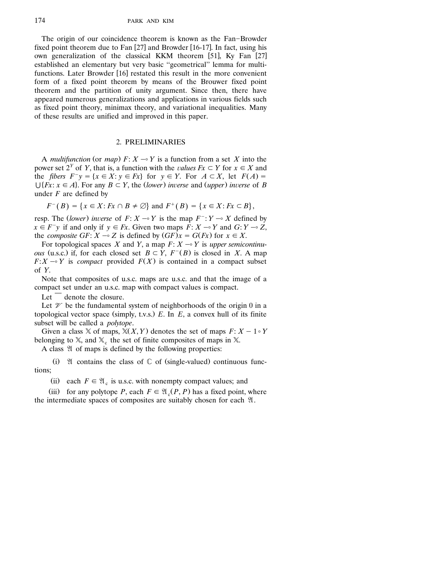The origin of our coincidence theorem is known as the Fan-Browder fixed point theorem due to Fan [27] and Browder [16-17]. In fact, using his own generalization of the classical KKM theorem [51], Ky Fan [27] established an elementary but very basic ''geometrical'' lemma for multifunctions. Later Browder [16] restated this result in the more convenient form of a fixed point theorem by means of the Brouwer fixed point theorem and the partition of unity argument. Since then, there have appeared numerous generalizations and applications in various fields such as fixed point theory, minimax theory, and variational inequalities. Many of these results are unified and improved in this paper.

### 2. PRELIMINARIES

A *multifunction* (or *map*)  $F: X \rightarrow Y$  is a function from a set *X* into the power set  $2^Y$  of *Y*, that is, a function with the *values Fx*  $\subset Y$  for  $x \in X$  and the *fibers*  $F^{-}y = \{x \in X : y \in Fx\}$  for  $y \in Y$ . For  $A \subset X$ , let  $F(A) =$  $\bigcup \{Fx: x \in A\}$ . For any  $B \subset Y$ , the *(lower) inverse* and *(upper) inverse* of *B* under *F* are defined by

$$
F^{-}(B) = \{x \in X : Fx \cap B \neq \emptyset\}
$$
 and  $F^{+}(B) = \{x \in X : Fx \subset B\}$ ,

resp. The *(lower)* inverse of  $F: X \rightarrow Y$  is the map  $F^{-}: Y \rightarrow X$  defined by  $x \in F^{-}y$  if and only if  $y \in Fx$ . Given two maps  $F: X \rightarrow Y$  and  $G: Y \rightarrow Z$ , the *composite GF*:  $X \sim Z$  is defined by  $(GF)x = G(Fx)$  for  $x \in X$ .

For topological spaces *X* and *Y*, a map  $F: X \rightarrow Y$  is *upper semicontinuous* (u.s.c.) if, for each closed set  $B \subset Y$ ,  $F^{-}(B)$  is closed in *X*. A map  $F: X \rightarrow Y$  is *compact* provided  $F(X)$  is contained in a compact subset of *Y*.

Note that composites of u.s.c. maps are u.s.c. and that the image of a compact set under an u.s.c. map with compact values is compact.

Let  $\overline{\phantom{a}}$  denote the closure.

Let  $\mathcal V$  be the fundamental system of neighborhoods of the origin 0 in a topological vector space (simply, t.v.s.)  $E$ . In  $E$ , a convex hull of its finite subset will be called a *polytope*.

Given a class  $X$  of maps,  $X(X, Y)$  denotes the set of maps  $F: X - 1 \circ Y$ belonging to  $X$ , and  $X$ , the set of finite composites of maps in X.

A class  $\mathfrak A$  of maps is defined by the following properties:

(i)  $\mathfrak A$  contains the class of  $\mathbb C$  of (single-valued) continuous functions;

(ii) each  $F \in \mathfrak{A}_c$  is u.s.c. with nonempty compact values; and

(iii) for any polytope *P*, each  $F \in \mathfrak{A}$ <sub>c</sub> $(P, P)$  has a fixed point, where the intermediate spaces of composites are suitably chosen for each  $\mathfrak{A}$ .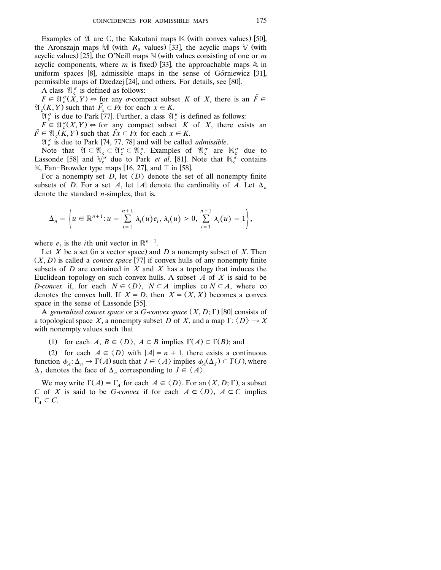Examples of  $\mathfrak A$  are  $\mathbb C$ , the Kakutani maps  $\mathbb K$  (with convex values) [50], the Aronszajn maps M (with  $R_8$  values) [33], the acyclic maps V (with acyclic values) [25], the O'Neill maps  $\mathbb N$  (with values consisting of one or *m* acyclic components, where *m* is fixed [33], the approachable maps  $\mathbb A$  in uniform spaces  $[8]$ , admissible maps in the sense of Górniewicz  $[31]$ , permissible maps of Dzedzej [24], and others. For details, see [80].

A class  $\mathfrak{A}_{c}^{\sigma}$  is defined as follows:

 $F \in \mathfrak{A}_{c}^{\sigma}(\check{X}, Y) \Leftrightarrow$  for any  $\sigma$ -compact subset *K* of *X*, there is an  $\tilde{F} \in$  $\mathfrak{A}_{\mathfrak{c}}(K, Y)$  such that  $\tilde{F}_x \subset F_x$  for each  $x \in K$ .

 $\mathfrak{A}_{\mathfrak{c}}^{\sigma}$  is due to Park [77]. Further, a class  $\mathfrak{A}_{\mathfrak{c}}^{\kappa}$  is defined as follows:

 $F \in \mathfrak{A}^k(X, Y) \Leftrightarrow$  for any compact subset *K* of *X*, there exists an  $\tilde{F} \in \mathfrak{A}$  (*K, Y*) such that  $\tilde{F}x \subset Fx$  for each  $x \in K$ .

 $\mathfrak{A}_{\kappa}^{\kappa}$  is due to Park [74, 77, 78] and will be called *admissible*.

Note that  $\mathfrak{A} \subset \mathfrak{A}_{c} \subset \mathfrak{A}_{c}^{\sigma} \subset \mathfrak{A}_{c}^{\kappa}$ . Examples of  $\mathfrak{A}_{c}^{\sigma}$  are  $\mathbb{K}_{c}^{\sigma}$  due to Lassonde [58] and  $\overline{V_c^{\sigma}}$  due to Park *et al.* [81]. Note that  $\overline{K_c^{\sigma}}$  contains  $\mathbb{K}$ , Fan-Browder type maps [16, 27], and  $\mathbb{T}$  in [58].

For a nonempty set *D*, let  $\langle D \rangle$  denote the set of all nonempty finite subsets of *D*. For a set *A*, let |*A*| denote the cardinality of *A*. Let  $\Delta_n$ denote the standard *n*-simplex, that is,

$$
\Delta_n = \left\{ u \in \mathbb{R}^{n+1} : u = \sum_{i=1}^{n+1} \lambda_i(u) e_i, \, \lambda_i(u) \ge 0, \, \sum_{i=1}^{n+1} \lambda_i(u) = 1 \right\},
$$

where  $e_i$  is the *i*th unit vector in  $\mathbb{R}^{n+1}$ .

Let  $\overline{X}$  be a set (in a vector space) and  $\overline{D}$  a nonempty subset of  $\overline{X}$ . Then  $(X, D)$  is called a *convex space* [77] if convex hulls of any nonempty finite subsets of  $D$  are contained in  $X$  and  $X$  has a topology that induces the Euclidean topology on such convex hulls. A subset *A* of *X* is said to be *D*-*convex* if, for each  $N \in \langle D \rangle$ ,  $N \subset A$  implies co  $N \subset A$ , where co denotes the convex hull. If  $X = D$ , then  $X = (X, X)$  becomes a convex space in the sense of Lassonde [55].

A *generalized convex space* or a *G*-*convex space*  $(X, D; \Gamma)$  [80] consists of a topological space X, a nonempty subset D of X, and a map  $\Gamma: \langle D \rangle \rightarrow X$ with nonempty values such that

(1) for each *A*,  $B \in \langle D \rangle$ ,  $A \subset B$  implies  $\Gamma(A) \subset \Gamma(B)$ ; and

(2) for each  $A \in \langle D \rangle$  with  $|A| = n + 1$ , there exists a continuous function  $\phi_A : \Delta_n \to \Gamma(A)$  such that  $J \in \langle A \rangle$  implies  $\phi_A(\Delta_i) \subset \Gamma(J)$ , where  $\Delta_I$  denotes the face of  $\Delta_n$  corresponding to  $J \in \langle A \rangle$ .

We may write  $\Gamma(A) = \Gamma_A$  for each  $A \in \langle D \rangle$ . For an  $(X, D; \Gamma)$ , a subset *C* of *X* is said to be *G*-*convex* if for each  $A \in \langle D \rangle$ ,  $A \subset C$  implies  $\Gamma_A \subset C$ .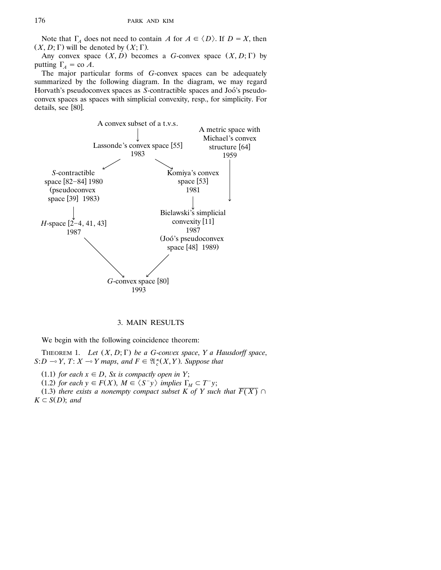Note that  $\Gamma_A$  does not need to contain *A* for  $A \in \langle D \rangle$ . If  $D = X$ , then  $(X, D; \Gamma)$  will be denoted by  $(X; \Gamma)$ .

Any convex space  $(X, D)$  becomes a *G*-convex space  $(X, D; \Gamma)$  by putting  $\Gamma_A = \text{co } A$ .

The major particular forms of *G*-convex spaces can be adequately summarized by the following diagram. In the diagram, we may regard Horvath's pseudoconvex spaces as *S*-contractible spaces and Joó's pseudoconvex spaces as spaces with simplicial convexity, resp., for simplicity. For details, see [80].



# 3. MAIN RESULTS

We begin with the following coincidence theorem:

THEOREM 1. *Let*  $(X, D; \Gamma)$  *be a G-convex space*, *Y a Hausdorff space*,  $S:D \neg Y, T: X \neg Y$  maps, and  $F \in \mathfrak{A}^{\kappa}(X, Y)$ . Suppose that

 $(1.1)$  *for each*  $x \in D$ , *Sx is compactly open in Y*;

(1.2) for each  $y \in F(X)$ ,  $M \in \langle S^{-}y \rangle$  implies  $\Gamma_M \subset T^{-}y$ ;

(1.3) there exists a nonempty compact subset K of Y such that  $\overline{F(X)} \cap$  $K \subset S(D)$ ; *and*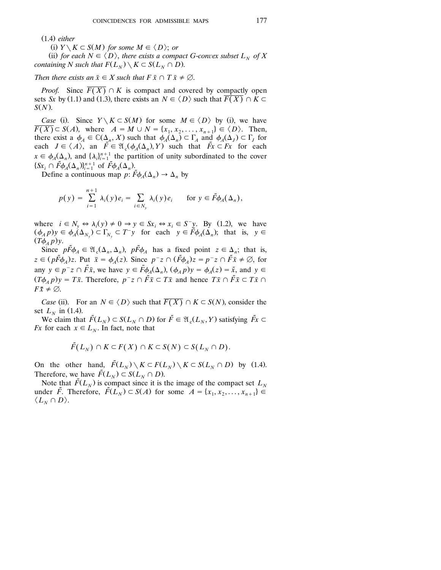Ž . 1.4 *either*

(i)  $Y \setminus K \subset S(M)$  for some  $M \in \langle D \rangle$ ; or

(ii) for each  $N \in \langle D \rangle$ , there exists a compact G-convex subset  $L_N$  of X *containing N such that*  $F(L_N) \setminus K \subset S(L_N \cap D)$ .

*Then there exists an*  $\bar{x} \in X$  *such that*  $F \bar{x} \cap T \bar{x} \neq \emptyset$ .

*Proof.* Since  $\overline{F(X)} \cap K$  is compact and covered by compactly open sets *Sx* by (1.1) and (1.3), there exists an  $N \in \langle D \rangle$  such that  $\overline{F(X)} \cap \overline{K} \subset$  $S(N)$ .

*Case* (i). Since  $Y \setminus K \subset S(M)$  for some  $M \in \langle D \rangle$  by (i), we have  $\overline{F(X)} \subset S(A)$ , where  $A = M \cup N = \{x_1, x_2, \ldots, x_{n+1}\} \in \langle D \rangle$ . Then, there exist a  $\phi_A \in \mathbb{C}(\Delta_n, X)$  such that  $\phi_A(\Delta_n) \subset \Gamma_A$  and  $\phi_A(\Delta_i) \subset \Gamma_i$  for each  $J \in \langle A \rangle$ , an  $\tilde{F} \in \mathfrak{A}$  ( $\phi_A(\Delta_n), Y$ ) such that  $\tilde{F}$ *x*  $\subset F$ *x* for each  $x \in \phi_A(\Delta_n)$ , and  $\{\lambda_i\}_{i=1}^{n+1}$  the partition of unity subordinated to the cover  $\{Sx_i \cap \tilde{F}\phi_A(\Delta_n)\}_{i=1}^{n+1}$  of  $\tilde{F}\phi_A(\Delta_n)$ .

Define a continuous map  $p: \tilde{F}\phi_{A}(\Delta_{n}) \rightarrow \Delta_{n}$  by

$$
p(y) = \sum_{i=1}^{n+1} \lambda_i(y) e_i = \sum_{i \in N_y} \lambda_i(y) e_i \quad \text{for } y \in \tilde{F} \phi_A(\Delta_n),
$$

where  $i \in N_v \Leftrightarrow \lambda_i(y) \neq 0 \Rightarrow y \in S_{x_i} \Leftrightarrow x_i \in S^- y$ . By (1.2), we have  $(\phi_A p)_y \in \phi_A(\Delta_{N_y}) \subset \Gamma_{N_y} \subset T^{-}y$  for each  $y \in \tilde{F}\phi_A(\Delta_n)$ ; that is,  $y \in$  $(T\phi_A p)$ y.

Since  $p\tilde{F}\phi_A \in \mathfrak{A}_{\alpha}(\Delta_n, \Delta_n)$ ,  $p\tilde{F}\phi_A$  has a fixed point  $z \in \Delta_n$ ; that is,  $z \in (p\tilde{F}\phi_A)z$ . Put  $\bar{x} = \phi_A(z)$ . Since  $p^-z \cap (\tilde{F}\phi_A)z = p^-z \cap \tilde{F}\bar{x} \neq \emptyset$ , for any  $y \in p^-z \cap \tilde{F}\bar{x}$ , we have  $y \in \tilde{F}\phi_a(\Delta_v)$ ,  $(\phi_a p)y = \phi_a(z) = \tilde{x}$ , and  $y \in \tilde{F}$  $(T\phi_A p)y = T\bar{x}$ . Therefore,  $p^-z \cap \bar{F}\bar{x} \subset T\bar{x}$  and hence  $T\bar{x} \cap \bar{F}\bar{x} \subset T\bar{x}$  $F\overline{x} \neq \emptyset$ .

*Case* (ii). For an  $N \in \langle D \rangle$  such that  $\overline{F(X)} \cap K \subset S(N)$ , consider the set  $L<sub>N</sub>$  in (1.4).

We claim that  $\tilde{F}(L_N) \subset S(L_N \cap D)$  for  $\tilde{F} \in \mathfrak{A}(L_N, Y)$  satisfying  $\tilde{F} \subset$ *Fx* for each  $x \in L_N$ . In fact, note that

$$
\tilde{F}(L_N) \cap K \subset F(X) \cap K \subset S(N) \subset S(L_N \cap D).
$$

On the other hand,  $\tilde{F}(L_N) \setminus K \subset F(L_N) \setminus K \subset S(L_N \cap D)$  by (1.4). Therefore, we have  $\tilde{F}(L_N) \subset S(L_N \cap D)$ .

Note that  $\tilde{F}(L_N)$  is compact since it is the image of the compact set  $L_N$ under  $\tilde{F}$ . Therefore,  $\tilde{F}(L_N) \subset S(A)$  for some  $A = \{x_1, x_2, \ldots, x_{n+1}\} \in$  $\langle L_{N} \cap D \rangle$ .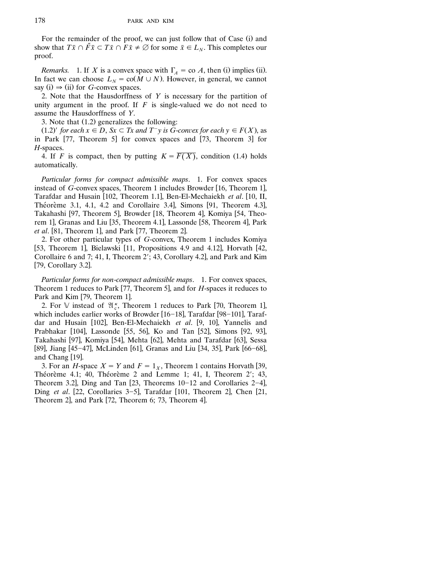For the remainder of the proof, we can just follow that of Case (i) and show that  $T\bar{x} \cap \bar{F}\bar{x} \subset T\bar{x} \cap F\bar{x} \neq \emptyset$  for some  $\bar{x} \in L_N$ . This completes our proof.

*Remarks.* 1. If *X* is a convex space with  $\Gamma_A = \text{co } A$ , then (i) implies (ii). In fact we can choose  $L_N = \text{co}(M \cup N)$ . However, in general, we cannot say (i)  $\Rightarrow$  (ii) for *G*-convex spaces.

2. Note that the Hausdorffness of *Y* is necessary for the partition of unity argument in the proof. If *F* is single-valued we do not need to assume the Hausdorffness of *Y*.

3. Note that  $(1.2)$  generalizes the following:

 $(1.2)'$  *for each*  $x \in D$ ,  $Sx \subset Tx$  *and*  $T^-y$  *is G-convex for each*  $y \in F(X)$ , as in Park  $[77,$  Theorem 5 for convex spaces and  $[73,$  Theorem 3 for *H*-spaces.

4. If *F* is compact, then by putting  $K = \overline{F(X)}$ , condition (1.4) holds automatically.

*Particular forms for compact admissible maps*. 1. For convex spaces instead of *G*-convex spaces, Theorem 1 includes Browder [16, Theorem 1], Tarafdar and Husain [102, Theorem 1.1], Ben-El-Mechaiekh et al. [10, II, Théorème 3.1, 4.1, 4.2 and Corollaire 3.4, Simons  $[91,$  Theorem 4.3, Takahashi [97, Theorem 5], Browder [18, Theorem 4], Komiya [54, Theorem 1], Granas and Liu [35, Theorem 4.1], Lassonde [58, Theorem 4], Park *et al.* [81, Theorem 1], and Park [77, Theorem 2].

2. For other particular types of *G*-convex, Theorem 1 includes Komiya [53, Theorem 1], Bielawski [11, Propositions 4.9 and 4.12], Horvath [42, Corollaire 6 and 7; 41, I, Theorem 2'; 43, Corollary 4.2], and Park and Kim  $[79, Corollary 3.2]$ .

*Particular forms for non*-*compact admissible maps*. 1. For convex spaces, Theorem 1 reduces to Park [77, Theorem 5], and for *H*-spaces it reduces to Park and Kim [79, Theorem 1].

2. For V instead of  $\mathfrak{A}_{\alpha}^{\kappa}$ , Theorem 1 reduces to Park [70, Theorem 1], which includes earlier works of Browder  $[16-18]$ , Tarafdar [98-101], Tarafdar and Husain [102], Ben-El-Mechaiekh et al. [9, 10], Yannelis and Prabhakar [104], Lassonde [55, 56], Ko and Tan [52], Simons [92, 93], Takahashi [97], Komiya [54], Mehta [62], Mehta and Tarafdar [63], Sessa [89], Jiang [45-47], McLinden [61], Granas and Liu [34, 35], Park [66-68], and Chang [19].

3. For an *H*-space  $X = Y$  and  $F = 1<sub>X</sub>$ , Theorem 1 contains Horvath [39, Théorème 4.1; 40, Théorème 2 and Lemme 1; 41, I, Theorem 2'; 43, Theorem 3.2, Ding and Tan  $[23,$  Theorems  $10-12$  and Corollaries 2-4, Ding *et al.* [22, Corollaries 3–5], Tarafdar [101, Theorem 2], Chen [21, Theorem 2, and Park  $[72,$  Theorem 6; 73, Theorem 4.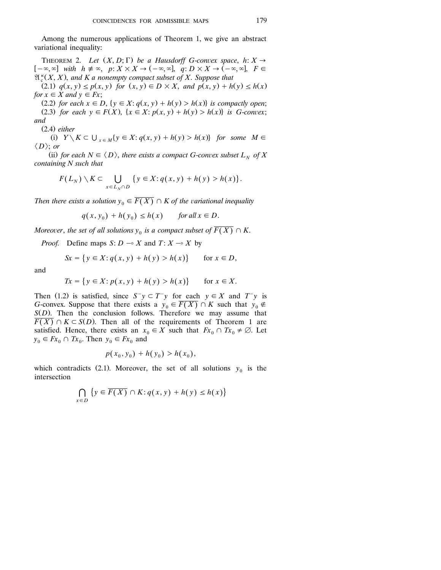Among the numerous applications of Theorem 1, we give an abstract variational inequality:

THEOREM 2. *Let*  $(X, D; \Gamma)$  *be a Hausdorff G-convex space, h: X*  $\rightarrow$  $[-\infty, \infty]$  with  $h \neq \infty$ ,  $p: X \times X \to (-\infty, \infty]$ ,  $q: D \times X \to (-\infty, \infty]$ ,  $F \in$  $\mathfrak{A}^{\kappa}(X, X)$ , and K a nonempty compact subset of X. Suppose that

 $Z(2.1)$   $q(x, y) \leq p(x, y)$  for  $(x, y) \in D \times X$ , and  $p(x, y) + h(y) \leq h(x)$ *for*  $x \in X$  *and*  $y \in Fx$ ;

(2.2) for each  $x \in D$ ,  $\{y \in X : q(x, y) + h(y) > h(x)\}$  is compactly open; (2.3) for each  $y \in F(X)$ ,  $\{x \in X : p(x, y) + h(y) > h(x)\}$  is G-convex;

*and*

Ž . 2.4 *either*

(i)  $Y \setminus K \subset \bigcup_{x \in M} \{y \in X : q(x, y) + h(y) > h(x)\}$  for some  $M \in$  $\langle D \rangle$ ; *or* 

(ii) for each  $N \in \langle D \rangle$ , there exists a compact G-convex subset  $L_N$  of X *containing N such that*

$$
F(L_N)\setminus K\subset \bigcup_{x\in L_N\cap D}\{y\in X:q(x,y)+h(y)>h(x)\}.
$$

*Then there exists a solution*  $y_0 \in \overline{F(X)} \cap K$  of the variational inequality

 $q(x, y_0) + h(y_0) \leq h(x)$  for all  $x \in D$ .

*Moreover, the set of all solutions*  $y_0$  *is a compact subset of*  $\overline{F(X)} \cap K$ .

*Proof.* Define maps *S*:  $D \sim X$  and  $T: X \sim X$  by

$$
Sx = \{ y \in X : q(x, y) + h(y) > h(x) \}
$$
 for  $x \in D$ ,

and

$$
Tx = \{ y \in X : p(x, y) + h(y) > h(x) \} \quad \text{for } x \in X.
$$

Then (1.2) is satisfied, since  $S^-y \subset T^-y$  for each  $y \in X$  and  $T^-y$  is *G*-convex. Suppose that there exists a  $y_0 \in \overline{F(X)} \cap K$  such that  $y_0 \notin$  $S(D)$ . Then the conclusion follows. Therefore we may assume that  $\overline{F(X)} \cap K \subset S(D)$ . Then all of the requirements of Theorem 1 are satisfied. Hence, there exists an  $x_0 \in X$  such that  $Fx_0 \cap Tx_0 \neq \emptyset$ . Let  $y_0 \in Fx_0 \cap Tx_0$ . Then  $y_0 \in Fx_0$  and

$$
p(x_0, y_0) + h(y_0) > h(x_0),
$$

which contradicts (2.1). Moreover, the set of all solutions  $y_0$  is the intersection

$$
\bigcap_{x \in D} \{ y \in \overline{F(X)} \cap K : q(x, y) + h(y) \le h(x) \}
$$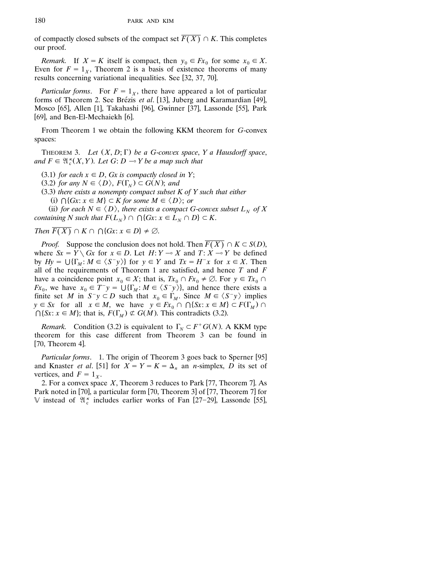of compactly closed subsets of the compact set  $\overline{F(X)} \cap K$ . This completes our proof.

*Remark.* If  $X = K$  itself is compact, then  $y_0 \in Fx_0$  for some  $x_0 \in X$ . Even for  $F = 1_x$ , Theorem 2 is a basis of existence theorems of many results concerning variational inequalities. See [32, 37, 70].

*Particular forms.* For  $F = 1_x$ , there have appeared a lot of particular forms of Theorem 2. See Brézis et al. [13], Juberg and Karamardian [49], Mosco [65], Allen [1], Takahashi [96], Gwinner [37], Lassonde [55], Park  $[69]$ , and Ben-El-Mechaiekh  $[6]$ .

From Theorem 1 we obtain the following KKM theorem for *G*-convex spaces:

THEOREM 3. *Let*  $(X, D; \Gamma)$  *be a G-convex space*, *Y a Hausdorff space*, and  $F \in \mathfrak{A}^{\kappa}(X, Y)$ . Let  $G: D \multimap Y$  be a map such that

- $(3.1)$  *for each*  $x \in D$ , *Gx is compactly closed in Y*;
- $(3.2)$  *for any*  $N \in \langle D \rangle$ ,  $F(\Gamma_N) \subset G(N)$ ; *and*
- Ž . 3.3 *there exists a nonempty compact subset K of Y such that either*

(i)  $\bigcap \{Gx : x \in M\} \subset K$  for some  $M \in \langle D \rangle$ ; or

(ii) for each  $N \in \langle D \rangle$ , there exists a compact G-convex subset  $L_N$  of X *containing N such that*  $F(L_N) \cap \bigcap \{Gx : x \in L_N \cap D\} \subset K$ .

*Then*  $\overline{F(X)} \cap K \cap \bigcap \{Gx : x \in D\} \neq \emptyset$ .

*Proof.* Suppose the conclusion does not hold. Then  $\overline{F(X)} \cap K \subset S(D)$ , where  $S_x = Y \setminus G_x$  for  $x \in D$ . Let  $H: Y \rightarrow X$  and  $T: X \rightarrow Y$  be defined by  $Hy = \bigcup \{\Gamma_M : M \in \langle S^-y \rangle\}$  for  $y \in Y$  and  $Tx = H^-x$  for  $x \in X$ . Then all of the requirements of Theorem 1 are satisfied, and hence *T* and *F* have a coincidence point  $x_0 \in X$ ; that is,  $Tx_0 \cap Fx_0 \neq \emptyset$ . For  $y \in Tx_0 \cap$ *Fx*<sub>0</sub>, we have  $x_0 \in \overline{T}^y = \bigcup {\{\Gamma_M : M \in \langle S^y \rangle\}}$ , and hence there exists a finite set *M* in  $S^-y \subset D$  such that  $x_0 \in \Gamma_M$ . Since  $M \in \langle S^-y \rangle$  implies  $y \in S_x$  for all  $x \in M$ , we have  $y \in F_{x_0} \cap \bigcap \{S_x : x \in M\} \subset F(\Gamma_M) \cap$  $\bigcap \{S_x : x \in M\}$ ; that is,  $F(\Gamma_M) \not\subset G(M)$ . This contradicts (3.2).

*Remark.* Condition (3.2) is equivalent to  $\Gamma_N \subset F^+G(N)$ . A KKM type theorem for this case different from Theorem 3 can be found in  $[70,$  Theorem 4].

*Particular forms.* 1. The origin of Theorem 3 goes back to Sperner [95] and Knaster *et al.* [51] for  $X = Y = K = \Delta_n$  an *n*-simplex, *D* its set of vertices, and  $F = 1<sub>x</sub>$ .

2. For a convex space  $X$ , Theorem 3 reduces to Park [77, Theorem 7]. As Park noted in  $[70]$ , a particular form  $[70]$ , Theorem 3 of  $[77]$ , Theorem 7 for V instead of  $\mathfrak{A}_{c}^{\kappa}$  includes earlier works of Fan [27-29], Lassonde [55],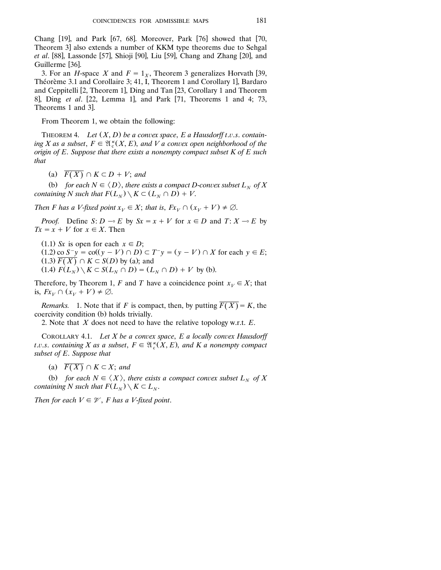Chang  $[19]$ , and Park  $[67, 68]$ . Moreover, Park  $[76]$  showed that  $[70, 8]$ Theorem 3] also extends a number of KKM type theorems due to Sehgal *et al.* [88], Lassonde [57], Shioji [90], Liu [59], Chang and Zhang [20], and Guillerme [36].

3. For an *H*-space *X* and  $F = 1<sub>x</sub>$ , Theorem 3 generalizes Horvath [39, Théorème 3.1 and Corollaire 3; 41, I, Theorem 1 and Corollary 1], Bardaro and Ceppitelli [2, Theorem 1], Ding and Tan [23, Corollary 1 and Theorem 8, Ding *et al.* [22, Lemma 1], and Park [71, Theorems 1 and 4; 73, Theorems 1 and 3.

From Theorem 1, we obtain the following:

THEOREM 4. *Let*  $(X, D)$  *be a convex space, E a Hausdorff t.v.s. contain*ing *X* as a subset,  $F \in \mathfrak{A}^*_{c}(X, E)$ , and *V* a convex open neighborhood of the *origin of E*. *Suppose that there exists a nonempty compact subset K of E such that*

(a)  $\overline{F(X)} \cap K \subset D + V$ ; *and* 

(b) for each  $N \in \langle D \rangle$ , there exists a compact D-convex subset  $L_N$  of X *containing N such that*  $F(L_N) \setminus K \subset (L_N \cap D) + V$ .

*Then F has a V-fixed point*  $x_V \in X$ ; *that is*,  $Fx_V \cap (x_V + V) \neq \emptyset$ .

*Proof.* Define *S*: *D*  $\sim$  *E* by *Sx* = *x* + *V* for *x*  $\in$  *D* and *T*: *X*  $\sim$  *E* by  $Tx = x + V$  for  $x \in X$ . Then

 $(1.1)$  *Sx* is open for each  $x \in D$ ;  $(1.2)$  co  $S^{-}y = \text{co}((y - V) \cap D) \subset T^{-}y = (y - V) \cap X$  for each  $y \in E$ ;  $(1.3) \overline{F(X)} \cap K \subset S(D)$  by (a); and  $(1.4)$   $F(L_N) \setminus K \subset S(L_N \cap D) = (L_N \cap D) + V$  by (b).

Therefore, by Theorem 1, *F* and *T* have a coincidence point  $x_V \in X$ ; that is,  $Fx_V \cap (x_V + V) \neq \emptyset$ .

*Remarks.* 1. Note that if *F* is compact, then, by putting  $\overline{F(X)} = K$ , the coercivity condition (b) holds trivially.

2. Note that *X* does not need to have the relative topology w.r.t. *E*.

COROLLARY 4.1. *Let X be a convex space*, *E a locally convex Hausdorff t.v.s. containing X* as a subset,  $F \in \mathfrak{A}^{\kappa}(X, E)$ , and *K* a nonempty compact *subset of E*. *Suppose that*

(a)  $\overline{F(X)} \cap K \subset X$ ; and

(b) for each  $N \in \langle X \rangle$ , there exists a compact convex subset  $L_N$  of X *containing N such that*  $F(L_N) \setminus K \subset L_N$ .

*Then for each*  $V \in \mathcal{V}$ , *F has a V-fixed point.*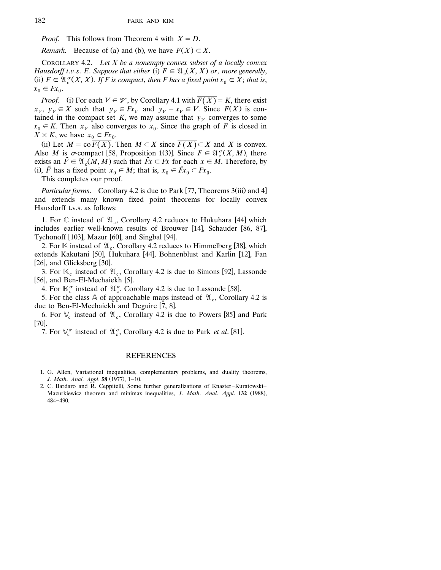*Proof.* This follows from Theorem 4 with  $X = D$ .

*Remark.* Because of (a) and (b), we have  $F(X) \subset X$ .

COROLLARY 4.2. *Let X be a nonempty convex subset of a locally convex Hausdorff t.v.s. E. Suppose that either* (i)  $F \in \mathfrak{A}$  (*X, X) or, more generally,* (ii)  $F \in \mathfrak{A}^{\sigma}(X, X)$ . If F is compact, then F has a fixed point  $x_0 \in X$ ; that is,  $x_0 \in Fx_0$ .

*Proof.* (i) For each  $V \in \mathcal{V}$ , by Corollary 4.1 with  $\overline{F(X)} = K$ , there exist  $x_V$ ,  $y_V \in X$  such that  $y_V \in F_x$  and  $y_V - x_V \in V$ . Since  $F(X)$  is contained in the compact set *K*, we may assume that  $y_V$  converges to some  $x_0 \in K$ . Then  $x_V$  also converges to  $x_0$ . Since the graph of *F* is closed in  $X \times K$ , we have  $x_0 \in Fx_0$ .

(ii) Let  $M = \text{co }\overline{F(X)}$ . Then  $M \subset X$  since  $\overline{F(X)} \subset X$  and X is convex. Also *M* is  $\sigma$ -compact [58, Proposition 1(3)]. Since  $F \in \mathfrak{A}^{\sigma}_c(X, M)$ , there exists an  $\tilde{F} \in \mathfrak{A}$ ,  $(M, M)$  such that  $\tilde{F}x \subset Fx$  for each  $x \in M$ . Therefore, by (i),  $\tilde{F}$  has a fixed point  $x_0 \in M$ ; that is,  $x_0 \in \tilde{F}x_0 \subset Fx_0$ .

This completes our proof.

*Particular forms.* Corollary 4.2 is due to Park [77, Theorems 3(iii) and 4] and extends many known fixed point theorems for locally convex Hausdorff t.v.s. as follows:

1. For  $\mathbb C$  instead of  $\mathfrak{A}_c$ , Corollary 4.2 reduces to Hukuhara [44] which includes earlier well-known results of Brouwer [14], Schauder [86, 87], Tychonoff  $[103]$ , Mazur  $[60]$ , and Singbal  $[94]$ .

2. For  $\mathbb K$  instead of  $\mathfrak{A}_c$ , Corollary 4.2 reduces to Himmelberg [38], which extends Kakutani [50], Hukuhara [44], Bohnenblust and Karlin [12], Fan [26], and Glicksberg  $\left[30\right]$ .

3. For  $\mathbb{K}_c$  instead of  $\mathfrak{A}_c$ , Corollary 4.2 is due to Simons [92], Lassonde [56], and Ben-El-Mechaiekh [5].

4. For  $\mathbb{K}_{c}^{\sigma}$  instead of  $\mathfrak{A}_{c}^{\sigma}$ , Corollary 4.2 is due to Lassonde [58].

5. For the class A of approachable maps instead of  $\mathfrak{A}_{\alpha}$ , Corollary 4.2 is due to Ben-El-Mechaiekh and Deguire [7, 8].

6. For  $\mathbb{V}_c$  instead of  $\mathfrak{A}_c$ , Corollary 4.2 is due to Powers [85] and Park  $[70]$ .

7. For  $\mathbb{V}_c^{\sigma}$  instead of  $\mathfrak{A}_{c}^{\sigma}$ , Corollary 4.2 is due to Park *et al.* [81].

#### REFERENCES

- 1. G. Allen, Variational inequalities, complementary problems, and duality theorems, *J. Math. Anal. Appl.* **58** (1977), 1-10.
- 2. C. Bardaro and R. Ceppitelli, Some further generalizations of Knaster-Kuratowski-Mazurkiewicz theorem and minimax inequalities, *J. Math. Anal. Appl.* 132 (1988), 484-490.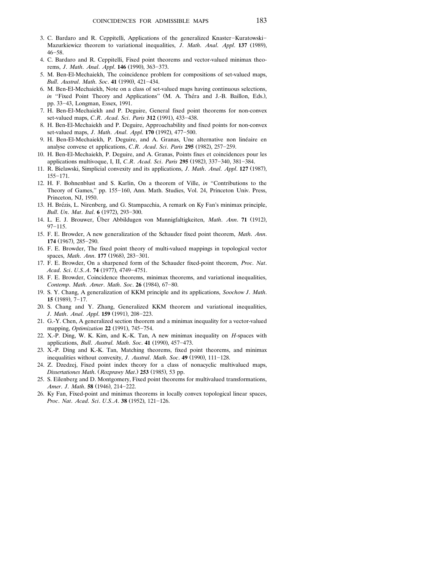- 3. C. Bardaro and R. Ceppitelli, Applications of the generalized Knaster-Kuratowski-Mazurkiewicz theorem to variational inequalities, *J. Math. Anal. Appl.* 137 (1989),  $46 - 58.$
- 4. C. Bardaro and R. Ceppitelli, Fixed point theorems and vector-valued minimax theorems, *J. Math. Anal. Appl.* **146** (1990), 363-373.
- 5. M. Ben-El-Mechaiekh, The coincidence problem for compositions of set-valued maps, *Bull. Austral. Math. Soc.* 41 (1990), 421-434.
- 6. M. Ben-El-Mechaiekh, Note on a class of set-valued maps having continuous selections, *in* "Fixed Point Theory and Applications" (M. A. Théra and J.-B. Baillon, Eds.), pp. 33-43, Longman, Essex, 1991.
- 7. H. Ben-El-Mechaiekh and P. Deguire, General fixed point theorems for non-convex set-valued maps, *C.R. Acad. Sci. Paris* 312 (1991), 433-438.
- 8. H. Ben-El-Mechaiekh and P. Deguire, Approachability and fixed points for non-convex set-valued maps, *J. Math. Anal. Appl.* **170** (1992), 477-500.
- 9. H. Ben-El-Mechaiekh, P. Deguire, and A. Granas, Une alternative non linéaire en analyse convexe et applications, *C.R. Acad. Sci. Paris* 295 (1982), 257-259.
- 10. H. Ben-El-Mechaiekh, P. Deguire, and A. Granas, Points fixes et coincidences pour les applications multivoque, I, II, *C.R. Acad. Sci. Paris* 295 (1982), 337-340, 381-384.
- 11. R. Bielawski, Simplicial convexity and its applications, *J. Math. Anal. Appl.* 127 (1987),  $155 - 171.$
- 12. H. F. Bohnenblust and S. Karlin, On a theorem of Ville, *in* ''Contributions to the Theory of Games," pp. 155-160, Ann. Math. Studies, Vol. 24, Princeton Univ. Press, Princeton, NJ, 1950.
- 13. H. Brézis, L. Nirenberg, and G. Stampacchia, A remark on Ky Fan's minimax principle, *Bull. Un. Mat. Ital.* **6** (1972), 293-300.
- 14. L. E. J. Brouwer, Über Abbildugen von Mannigfaltigkeiten, *Math. Ann.* 71 (1912),  $97 - 115.$
- 15. F. E. Browder, A new generalization of the Schauder fixed point theorem, *Math*. *Ann*. **174** (1967), 285-290.
- 16. F. E. Browder, The fixed point theory of multi-valued mappings in topological vector spaces, *Math. Ann.* **177** (1968), 283-301.
- 17. F. E. Browder, On a sharpened form of the Schauder fixed-point theorem, *Proc*. *Nat*. *Acad. Sci. U.S.A.* **74** (1977), 4749-4751.
- 18. F. E. Browder, Coincidence theorems, minimax theorems, and variational inequalities, *Contemp. Math. Amer. Math. Soc.* 26 (1984), 67-80.
- 19. S. Y. Chang, A generalization of KKM principle and its applications, *Soochow J*. *Math*. **15** (1989), 7-17.
- 20. S. Chang and Y. Zhang, Generalized KKM theorem and variational inequalities, *J. Math. Anal. Appl.* **159** (1991), 208-223.
- 21. G.-Y. Chen, A generalized section theorem and a minimax inequality for a vector-valued mapping, *Optimization* 22 (1991), 745-754.
- 22. X.-P. Ding, W. K. Kim, and K.-K. Tan, A new minimax inequality on *H*-spaces with applications, *Bull. Austral. Math. Soc.* 41 (1990), 457-473.
- 23. X.-P. Ding and K.-K. Tan, Matching theorems, fixed point theorems, and minimax inequalities without convexity, *J. Austral. Math. Soc.* 49 (1990), 111-128.
- 24. Z. Dzedzej, Fixed point index theory for a class of nonacyclic multivalued maps, *Dissertationes Math.* (*Rozprawy Mat.*) **253** (1985), 53 pp.
- 25. S. Eilenberg and D. Montgomery, Fixed point theorems for multivalued transformations, *Amer. J. Math.* **58** (1946), 214-222.
- 26. Ky Fan, Fixed-point and minimax theorems in locally convex topological linear spaces, *Proc. Nat. Acad. Sci. U.S.A.* **38** (1952), 121-126.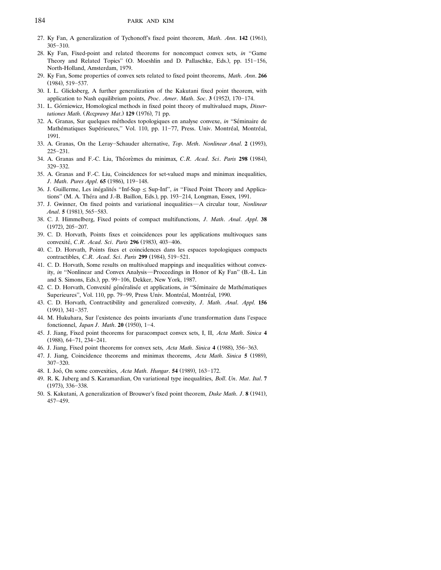- 27. Ky Fan, A generalization of Tychonoff's fixed point theorem, *Math. Ann.* **142** (1961),  $305 - 310$ .
- 28. Ky Fan, Fixed-point and related theorems for noncompact convex sets, *in* ''Game Theory and Related Topics" (O. Moeshlin and D. Pallaschke, Eds.), pp. 151-156, North-Holland, Amsterdam, 1979.
- 29. Ky Fan, Some properties of convex sets related to fixed point theorems, *Math*. *Ann*. **266**  $(1984)$ , 519-537.
- 30. I. L. Glicksberg, A further generalization of the Kakutani fixed point theorem, with application to Nash equilibrium points, *Proc. Amer. Math. Soc.* **3** (1952), 170-174.
- 31. L. Górniewicz, Homological methods in fixed point theory of multivalued maps, *Dissertationes Math.* (*Rozprawy Mat.*) **129** (1976), 71 pp.
- 32. A. Granas, Sur quelques méthodes topologiques en analyse convexe, in "Séminaire de Mathématiques Supérieures," Vol. 110, pp. 11-77, Press. Univ. Montréal, Montréal, 1991.
- 33. A. Granas, On the Leray-Schauder alternative, *Top. Meth. Nonlinear Anal.* 2 (1993),  $225 - 231$ .
- 34. A. Granas and F.-C. Liu, Théorèmes du minimax, C.R. *Acad. Sci. Paris* 298 (1984),  $329 - 332$ .
- 35. A. Granas and F.-C. Liu, Coincidences for set-valued maps and minimax inequalities, *J. Math. Pures Appl.* **65** (1986), 119-148.
- 36. J. Guillerme, Les inégalités "Inf-Sup  $\leq$  Sup-Inf", *in* "Fixed Point Theory and Applications" (M. A. Théra and J.-B. Baillon, Eds.), pp. 193–214, Longman, Essex, 1991.
- 37. J. Gwinner, On fixed points and variational inequalities—A circular tour, *Nonlinear Anal.* **5** (1981), 565-583.
- 38. C. J. Himmelberg, Fixed points of compact multifunctions, *J*. *Math*. *Anal*. *Appl*. **38**  $(1972)$ ,  $205-207$ .
- 39. C. D. Horvath, Points fixes et coincidences pour les applications multivoques sans convexité, *C.R. Acad. Sci. Paris* 296 (1983), 403-406.
- 40. C. D. Horvath, Points fixes et coincidences dans les espaces topologiques compacts contractibles, *C.R. Acad. Sci. Paris* 299 (1984), 519–521.
- 41. C. D. Horvath, Some results on multivalued mappings and inequalities without convexity, *in* "Nonlinear and Convex Analysis—Proceedings in Honor of Ky Fan" (B.-L. Lin and S. Simons, Eds.), pp. 99-106, Dekker, New York, 1987.
- 42. C. D. Horvath, Convexité généralisée et applications, in "Séminaire de Mathématiques Superieures", Vol. 110, pp. 79–99, Press Univ. Montréal, Montréal, 1990.
- 43. C. D. Horvath, Contractibility and generalized convexity, *J*. *Math*. *Anal*. *Appl*. **156**  $(1991)$ , 341-357.
- 44. M. Hukuhara, Sur l'existence des points invariants d'une transformation dans l'espace fonctionnel, *Japan J. Math.* **20** (1950), 1-4.
- 45. J. Jiang, Fixed point theorems for paracompact convex sets, I, II, *Acta Math*. *Sinica* **4**  $(1988), 64-71, 234-241.$
- 46. J. Jiang, Fixed point theorems for convex sets, Acta Math. Sinica 4 (1988), 356-363.
- 47. J. Jiang, Coincidence theorems and minimax theorems, *Acta Math. Sinica* 5 (1989),  $307 - 320$ .
- 48. I. Joó, On some convexities, Acta Math. *Hungar*. **54** (1989), 163-172.
- 49. R. K. Juberg and S. Karamardian, On variational type inequalities, *Boll*. *Un*. *Mat*. *Ital*. **7** (1973), 336-338.
- 50. S. Kakutani, A generalization of Brouwer's fixed point theorem, *Duke Math. J.* 8 (1941),  $457 - 459.$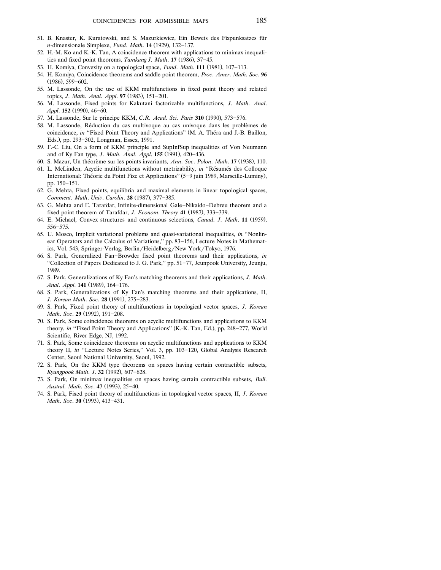- 51. B. Knaster, K. Kuratowski, and S. Mazurkiewicz, Ein Beweis des Fixpunksatzes fur ¨ *n*-dimensionale Simplexe, *Fund. Math.* **14** (1929), 132-137.
- 52. H.-M. Ko and K.-K. Tan, A coincidence theorem with applications to minimax inequalities and fixed point theorems, *Tamkang J. Math.* 17 (1986), 37-45.
- 53. H. Komiya, Convexity on a topological space, *Fund. Math.* 111 (1981), 107-113.
- 54. H. Komiya, Coincidence theorems and saddle point theorem, *Proc*. *Amer*. *Math*. *Soc*. **96**  $(1986)$ , 599-602.
- 55. M. Lassonde, On the use of KKM multifunctions in fixed point theory and related topics, *J. Math. Anal. Appl.* 97 (1983), 151-201.
- 56. M. Lassonde, Fixed points for Kakutani factorizable multifunctions, *J*. *Math*. *Anal*. *Appl.* **152** (1990), 46-60.
- 57. M. Lassonde, Sur le principe KKM, *C.R. Acad. Sci. Paris* 310 (1990), 573-576.
- 58. M. Lassonde, Reduction du cas multivoque au cas univoque dans les problemes de ´ ` coincidence, *in* "Fixed Point Theory and Applications" (M. A. Théra and J.-B. Baillon, Eds.), pp. 293-302, Longman, Essex, 1991.
- 59. F.-C. Liu, On a form of KKM principle and SupInfSup inequalities of Von Neumann and of Ky Fan type, *J. Math. Anal. Appl.* **155** (1991), 420-436.
- 60. S. Mazur, Un théorème sur les points invariants, Ann. Soc. Polon. Math. 17 (1938), 110.
- 61. L. McLinden, Acyclic multifunctions without metrizability, *in* "Résumés des Colloque International: Théorie du Point Fixe et Applications" (5–9 juin 1989, Marseille-Luminy), pp. 150-151.
- 62. G. Mehta, Fixed points, equilibria and maximal elements in linear topological spaces, *Comment. Math. Univ. Carolin.* **28** (1987), 377-385.
- 63. G. Mehta and E. Tarafdar, Infinite-dimensional Gale-Nikaido-Debreu theorem and a fixed point theorem of Tarafdar, *J. Econom. Theory* 41 (1987), 333-339.
- 64. E. Michael, Convex structures and continuous selections, *Canad. J. Math.* 11 (1959), 556-575.
- 65. U. Mosco, Implicit variational problems and quasi-variational inequalities, *in* ''Nonlinear Operators and the Calculus of Variations," pp. 83-156, Lecture Notes in Mathematics, Vol. 543, Springer-Verlag, Berlin/Heidelberg/New York/Tokyo, 1976.
- 66. S. Park, Generalized Fan-Browder fixed point theorems and their applications, *in* "Collection of Papers Dedicated to J. G. Park," pp. 51–77, Jeunpook University, Jeunju, 1989.
- 67. S. Park, Generalizations of Ky Fan's matching theorems and their applications, *J*. *Math*. *Anal. Appl.* **141** (1989), 164-176.
- 68. S. Park, Generalizations of Ky Fan's matching theorems and their applications, II, *J. Korean Math. Soc.* 28 (1991), 275-283.
- 69. S. Park, Fixed point theory of multifunctions in topological vector spaces, *J*. *Korean Math. Soc.* 29 (1992), 191-208.
- 70. S. Park, Some coincidence theorems on acyclic multifunctions and applications to KKM theory, *in* "Fixed Point Theory and Applications" (K.-K. Tan, Ed.), pp. 248–277, World Scientific, River Edge, NJ, 1992.
- 71. S. Park, Some coincidence theorems on acyclic multifunctions and applications to KKM theory II, *in* "Lecture Notes Series," Vol. 3, pp. 103-120, Global Analysis Research Center, Seoul National University, Seoul, 1992.
- 72. S. Park, On the KKM type theorems on spaces having certain contractible subsets, *Kyungpook Math. J.* 32 (1992), 607-628.
- 73. S. Park, On minimax inequalities on spaces having certain contractible subsets, *Bull*. *Austral. Math. Soc.* 47 (1993), 25-40.
- 74. S. Park, Fixed point theory of multifunctions in topological vector spaces, II, *J*. *Korean Math. Soc.* **30** (1993), 413-431.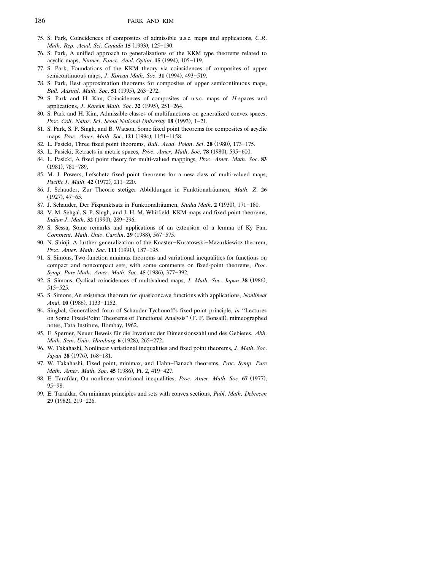- 75. S. Park, Coincidences of composites of admissible u.s.c. maps and applications, *C*.*R*. *Math. Rep. Acad. Sci. Canada* 15 (1993), 125-130.
- 76. S. Park, A unified approach to generalizations of the KKM type theorems related to acyclic maps, *Numer. Funct. Anal. Optim.* **15** (1994), 105-119.
- 77. S. Park, Foundations of the KKM theory via coincidences of composites of upper semicontinuous maps, *J. Korean Math. Soc.* 31 (1994), 493-519.
- 78. S. Park, Best approximation theorems for composites of upper semicontinuous maps, *Bull. Austral. Math. Soc.* 51 (1995), 263-272.
- 79. S. Park and H. Kim, Coincidences of composites of u.s.c. maps of *H*-spaces and applications, *J. Korean Math. Soc.* 32 (1995), 251-264.
- 80. S. Park and H. Kim, Admissible classes of multifunctions on generalized convex spaces, *Proc. Coll. Natur. Sci. Seoul National University* 18 (1993), 1-21.
- 81. S. Park, S. P. Singh, and B. Watson, Some fixed point theorems for composites of acyclic maps, Proc. Amer. Math. Soc. 121 (1994), 1151-1158.
- 82. L. Pasicki, Three fixed point theorems, *Bull. Acad. Polon. Sci.* 28 (1980), 173-175.
- 83. L. Pasicki, Retracts in metric spaces, *Proc. Amer. Math. Soc.* **78** (1980), 595-600.
- 84. L. Pasicki, A fixed point theory for multi-valued mappings, *Proc*. *Amer*. *Math*. *Soc*. **83**  $(1981)$ , 781-789.
- 85. M. J. Powers, Lefschetz fixed point theorems for a new class of multi-valued maps, *Pacific J. Math.* **42** (1972), 211-220.
- 86. J. Schauder, Zur Theorie stetiger Abbildungen in Funktionalräumen, Math. Z. 26  $(1927)$ ,  $47-65$ .
- 87. J. Schauder, Der Fixpunktsatz in Funktionalräumen, *Studia Math.* 2 (1930), 171-180.
- 88. V. M. Sehgal, S. P. Singh, and J. H. M. Whitfield, KKM-maps and fixed point theorems, *Indian J. Math.* **32** (1990). 289-296.
- 89. S. Sessa, Some remarks and applications of an extension of a lemma of Ky Fan, *Comment. Math. Univ. Carolin.* **29** (1988), 567-575.
- 90. N. Shioji, A further generalization of the Knaster-Kuratowski-Mazurkiewicz theorem, *Proc. Amer. Math. Soc.* 111 (1991), 187-195.
- 91. S. Simons, Two-function minimax theorems and variational inequalities for functions on compact and noncompact sets, with some comments on fixed-point theorems, *Proc*. *Symp. Pure Math. Amer. Math. Soc.* 45 (1986), 377-392.
- 92. S. Simons, Cyclical coincidences of multivalued maps, *J. Math. Soc. Japan* 38 (1986), 515-525.
- 93. S. Simons, An existence theorem for quasiconcave functions with applications, *Nonlinear Anal.* **10** (1986), 1133-1152.
- 94. Singbal, Generalized form of Schauder-Tychonoff's fixed-point principle, *in* ''Lectures on Some Fixed-Point Theorems of Functional Analysis" (F. F. Bonsall), mimeographed notes, Tata Institute, Bombay, 1962.
- 95. E. Sperner, Neuer Beweis für die Invarianz der Dimensionszahl und des Gebietes, *Abh. Math. Sem. Univ. Hamburg* **6** (1928), 265-272.
- 96. W. Takahashi, Nonlinear variational inequalities and fixed point theorems, *J*. *Math*. *Soc*. Japan 28 (1976), 168-181.
- 97. W. Takahashi, Fixed point, minimax, and Hahn-Banach theorems, *Proc. Symp. Pure Math. Amer. Math. Soc.* 45 (1986), Pt. 2, 419-427.
- 98. E. Tarafdar, On nonlinear variational inequalities, *Proc. Amer. Math. Soc.* 67 (1977), 95-98.
- 99. E. Tarafdar, On minimax principles and sets with convex sections, *Publ*. *Math*. *Debrecen* **29** (1982), 219-226.